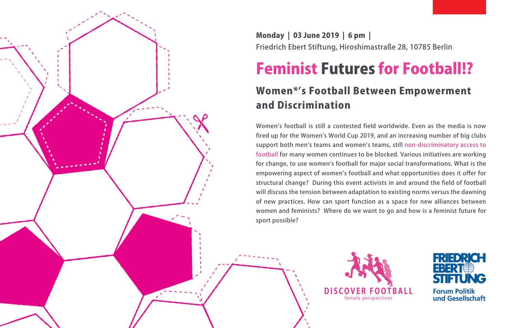

Monday | 03 June 2019 | 6 pm | Friedrich Ebert Stiftung, Hiroshimastraße 28, 10785 Berlin

# Feminist Futures for Football!?

# Women\*'s Football Between Empowerment and Discrimination

Women's football is still a contested field worldwide. Even as the media is now fired up for the Women's World Cup 2019, and an increasing number of big clubs support both men's teams and women's teams, still non-discriminatory access to football for many women continues to be blocked. Various initiatives are working for change, to use women's football for major social transformations. What is the empowering aspect of women's football and what opportunities does it offer for structural change? During this event activists in and around the field of football will discuss the tension between adaptation to existing norms versus the dawning of new practices. How can sport function as a space for new alliances between women and feminists? Where do we want to go and how is a feminist future for sport possible?





und Gesellschaft